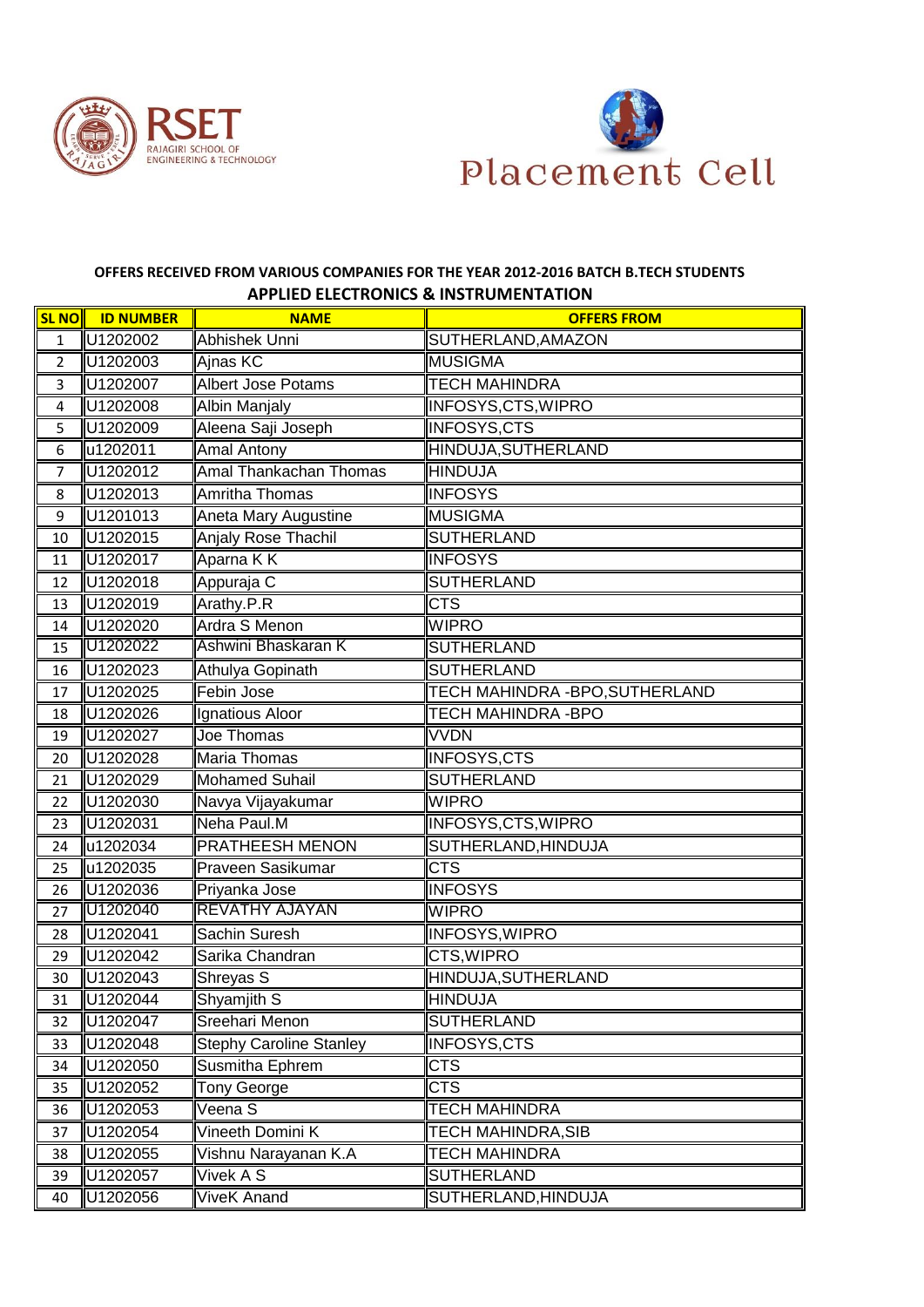



## **OFFERS RECEIVED FROM VARIOUS COMPANIES FOR THE YEAR 2012-2016 BATCH B.TECH STUDENTS APPLIED ELECTRONICS & INSTRUMENTATION**

|                | <b>SL NO ID NUMBER</b> | <b>NAME</b>                    | <b>OFFERS FROM</b>              |
|----------------|------------------------|--------------------------------|---------------------------------|
| $\mathbf{1}$   | U1202002               | <b>Abhishek Unni</b>           | SUTHERLAND, AMAZON              |
| $\overline{2}$ | U1202003               | Ajnas KC                       | <b>MUSIGMA</b>                  |
| 3              | U1202007               | <b>Albert Jose Potams</b>      | <b>TECH MAHINDRA</b>            |
| $\overline{4}$ | U1202008               | <b>Albin Manjaly</b>           | <b>INFOSYS, CTS, WIPRO</b>      |
| 5              | U1202009               | Aleena Saji Joseph             | <b>INFOSYS,CTS</b>              |
| 6              | u1202011               | <b>Amal Antony</b>             | HINDUJA, SUTHERLAND             |
| $\overline{7}$ | U1202012               | <b>Amal Thankachan Thomas</b>  | <b>HINDUJA</b>                  |
| 8              | U1202013               | <b>Amritha Thomas</b>          | <b>INFOSYS</b>                  |
| 9              | U1201013               | Aneta Mary Augustine           | <b>MUSIGMA</b>                  |
| 10             | U1202015               | <b>Anjaly Rose Thachil</b>     | <b>SUTHERLAND</b>               |
| 11             | U1202017               | Aparna K K                     | <b>INFOSYS</b>                  |
| 12             | U1202018               | Appuraja C                     | <b>SUTHERLAND</b>               |
| 13             | U1202019               | Arathy.P.R                     | <b>CTS</b>                      |
| 14             | U1202020               | Ardra S Menon                  | <b>WIPRO</b>                    |
| 15             | U1202022               | Ashwini Bhaskaran K            | <b>SUTHERLAND</b>               |
| 16             | U1202023               | Athulya Gopinath               | <b>SUTHERLAND</b>               |
| 17             | U1202025               | Febin Jose                     | TECH MAHINDRA - BPO, SUTHERLAND |
| 18             | U1202026               | Ignatious Aloor                | TECH MAHINDRA -BPO              |
| 19             | U1202027               | Joe Thomas                     | <b>VVDN</b>                     |
| 20             | U1202028               | <b>Maria Thomas</b>            | <b>INFOSYS,CTS</b>              |
| 21             | U1202029               | <b>Mohamed Suhail</b>          | <b>SUTHERLAND</b>               |
| 22             | U1202030               | Navya Vijayakumar              | <b>WIPRO</b>                    |
| 23             | U1202031               | Neha Paul.M                    | <b>INFOSYS, CTS, WIPRO</b>      |
| 24             | u1202034               | PRATHEESH MENON                | SUTHERLAND, HINDUJA             |
| 25             | u1202035               | Praveen Sasikumar              | <b>CTS</b>                      |
| 26             | U1202036               | Priyanka Jose                  | <b>INFOSYS</b>                  |
| 27             | U1202040               | <b>REVATHY AJAYAN</b>          | <b>WIPRO</b>                    |
| 28             | U1202041               | Sachin Suresh                  | <b>INFOSYS, WIPRO</b>           |
| 29             | U1202042               | Sarika Chandran                | CTS, WIPRO                      |
| 30             | U1202043               | Shreyas S                      | HINDUJA, SUTHERLAND             |
| 31             | U1202044               | Shyamjith S                    | <b>HINDUJA</b>                  |
| 32             | U1202047               | Sreehari Menon                 | SUTHERLAND                      |
| 33             | U1202048               | <b>Stephy Caroline Stanley</b> | <b>INFOSYS, CTS</b>             |
| 34             | U1202050               | <b>Susmitha Ephrem</b>         | <b>CTS</b>                      |
| 35             | U1202052               | Tony George                    | <b>CTS</b>                      |
| 36             | U1202053               | Veena S                        | <b>TECH MAHINDRA</b>            |
| 37             | U1202054               | Vineeth Domini K               | <b>TECH MAHINDRA, SIB</b>       |
| 38             | U1202055               | Vishnu Narayanan K.A           | <b>TECH MAHINDRA</b>            |
| 39             | U1202057               | Vivek A S                      | <b>SUTHERLAND</b>               |
| 40             | U1202056               | ViveK Anand                    | SUTHERLAND, HINDUJA             |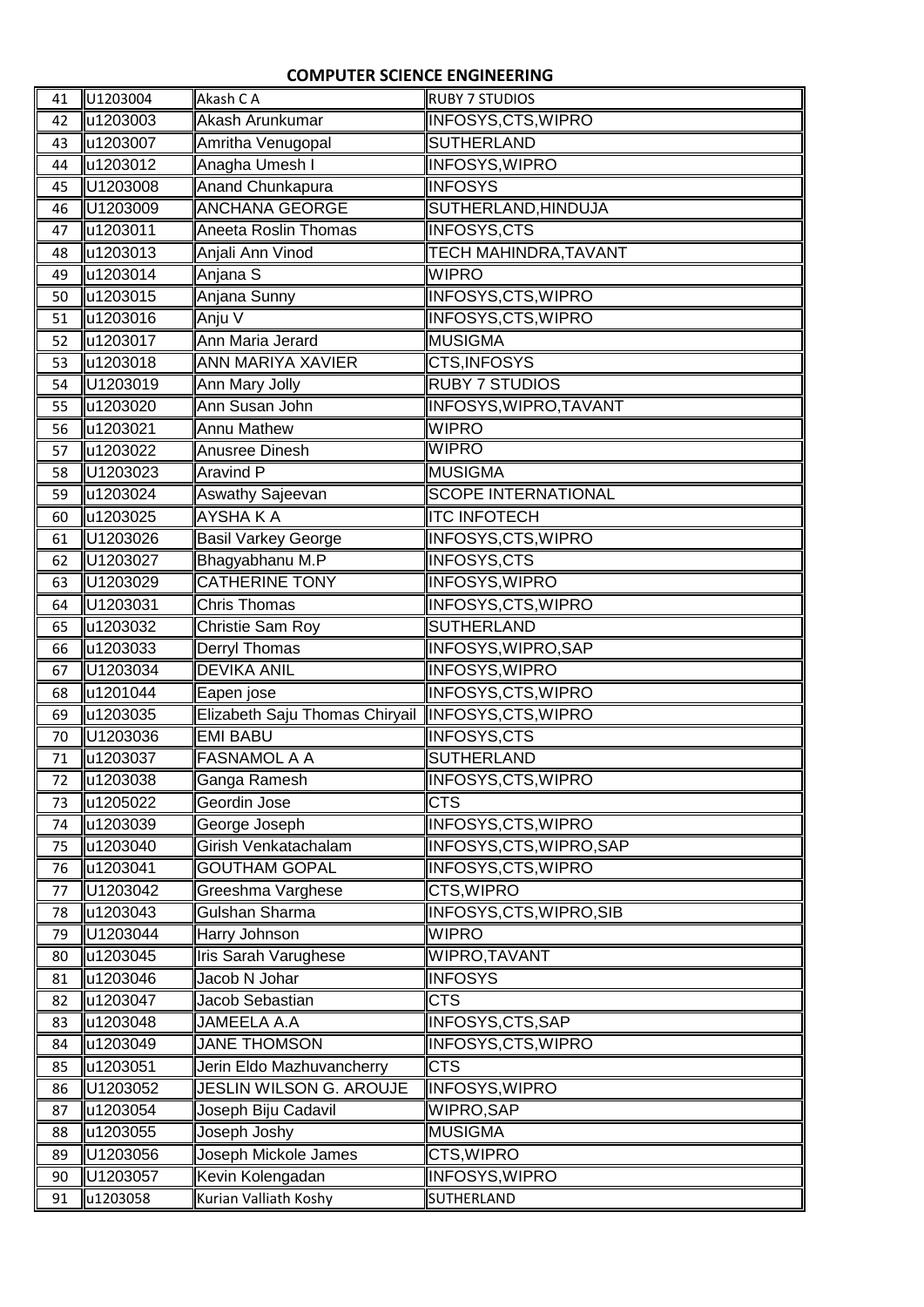## **COMPUTER SCIENCE ENGINEERING**

| 41       | U1203004 | Akash C A                                          | <b>RUBY 7 STUDIOS</b>        |
|----------|----------|----------------------------------------------------|------------------------------|
| 42       | u1203003 | Akash Arunkumar                                    | INFOSYS, CTS, WIPRO          |
| 43       | u1203007 | Amritha Venugopal                                  | <b>SUTHERLAND</b>            |
| 44       | u1203012 | Anagha Umesh I                                     | <b>INFOSYS, WIPRO</b>        |
| 45       | U1203008 | <b>Anand Chunkapura</b>                            | <b>INFOSYS</b>               |
| 46       | U1203009 | <b>ANCHANA GEORGE</b>                              | SUTHERLAND, HINDUJA          |
| 47       | u1203011 | Aneeta Roslin Thomas                               | INFOSYS,CTS                  |
| 48       | u1203013 | Anjali Ann Vinod                                   | <b>TECH MAHINDRA, TAVANT</b> |
| 49       | u1203014 | Anjana S                                           | <b>WIPRO</b>                 |
| 50       | u1203015 | Anjana Sunny                                       | <b>INFOSYS, CTS, WIPRO</b>   |
| 51       | u1203016 | Anju V                                             | INFOSYS, CTS, WIPRO          |
| 52       | u1203017 | Ann Maria Jerard                                   | <b>MUSIGMA</b>               |
| 53       | u1203018 | <b>ANN MARIYA XAVIER</b>                           | CTS, INFOSYS                 |
| 54       | U1203019 | Ann Mary Jolly                                     | <b>RUBY 7 STUDIOS</b>        |
| 55       | u1203020 | Ann Susan John                                     | INFOSYS, WIPRO, TAVANT       |
| 56       | u1203021 | <b>Annu Mathew</b>                                 | <b>WIPRO</b>                 |
| 57       | u1203022 | Anusree Dinesh                                     | <b>WIPRO</b>                 |
| 58       | U1203023 | <b>Aravind P</b>                                   | <b>MUSIGMA</b>               |
| 59       | u1203024 | <b>Aswathy Sajeevan</b>                            | <b>SCOPE INTERNATIONAL</b>   |
| 60       | u1203025 | <b>AYSHAKA</b>                                     | <b>ITC INFOTECH</b>          |
| 61       | U1203026 | <b>Basil Varkey George</b>                         | <b>INFOSYS, CTS, WIPRO</b>   |
| 62       | U1203027 | Bhagyabhanu M.P                                    | <b>INFOSYS,CTS</b>           |
| 63       | U1203029 | <b>CATHERINE TONY</b>                              | INFOSYS, WIPRO               |
| 64       | U1203031 | <b>Chris Thomas</b>                                | INFOSYS, CTS, WIPRO          |
| 65       | u1203032 | Christie Sam Roy                                   | <b>SUTHERLAND</b>            |
| 66       | u1203033 | Derryl Thomas                                      | INFOSYS, WIPRO, SAP          |
| 67       | U1203034 | <b>DEVIKA ANIL</b>                                 | INFOSYS, WIPRO               |
| 68       | u1201044 | Eapen jose                                         | INFOSYS,CTS,WIPRO            |
| 69       | u1203035 | Elizabeth Saju Thomas Chiryail INFOSYS, CTS, WIPRO |                              |
| 70       | U1203036 | <b>EMI BABU</b>                                    | <b>INFOSYS,CTS</b>           |
| 71       | u1203037 | <b>FASNAMOL A A</b>                                | <b>SUTHERLAND</b>            |
| 72       | u1203038 | Ganga Ramesh                                       | INFOSYS,CTS,WIPRO            |
| 73       | u1205022 | Geordin Jose                                       | <b>CTS</b>                   |
| 74       | u1203039 | George Joseph                                      | INFOSYS, CTS, WIPRO          |
| 75       | u1203040 | Girish Venkatachalam                               | INFOSYS, CTS, WIPRO, SAP     |
| 76       | u1203041 | <b>GOUTHAM GOPAL</b>                               | INFOSYS, CTS, WIPRO          |
| 77       | U1203042 | Greeshma Varghese                                  | CTS, WIPRO                   |
| 78       | u1203043 | Gulshan Sharma                                     | INFOSYS, CTS, WIPRO, SIB     |
| 79       | U1203044 | <b>Harry Johnson</b>                               | <b>WIPRO</b>                 |
| 80       | u1203045 | Iris Sarah Varughese                               | WIPRO, TAVANT                |
| 81       | u1203046 | Jacob N Johar                                      | <b>INFOSYS</b>               |
|          | u1203047 | Jacob Sebastian                                    | <b>CTS</b>                   |
| 82<br>83 | u1203048 | JAMEELA A.A                                        | <b>INFOSYS, CTS, SAP</b>     |
| 84       | u1203049 | <b>JANE THOMSON</b>                                | <b>INFOSYS, CTS, WIPRO</b>   |
| 85       | u1203051 | Jerin Eldo Mazhuvancherry                          | <b>CTS</b>                   |
| 86       | U1203052 | JESLIN WILSON G. AROUJE                            | <b>INFOSYS, WIPRO</b>        |
| 87       | u1203054 | Joseph Biju Cadavil                                | WIPRO, SAP                   |
| 88       | u1203055 | Joseph Joshy                                       | <b>MUSIGMA</b>               |
| 89       | U1203056 | Joseph Mickole James                               | CTS, WIPRO                   |
| 90       | U1203057 | Kevin Kolengadan                                   | INFOSYS, WIPRO               |
|          |          |                                                    |                              |
| 91       | u1203058 | Kurian Valliath Koshy                              | <b>SUTHERLAND</b>            |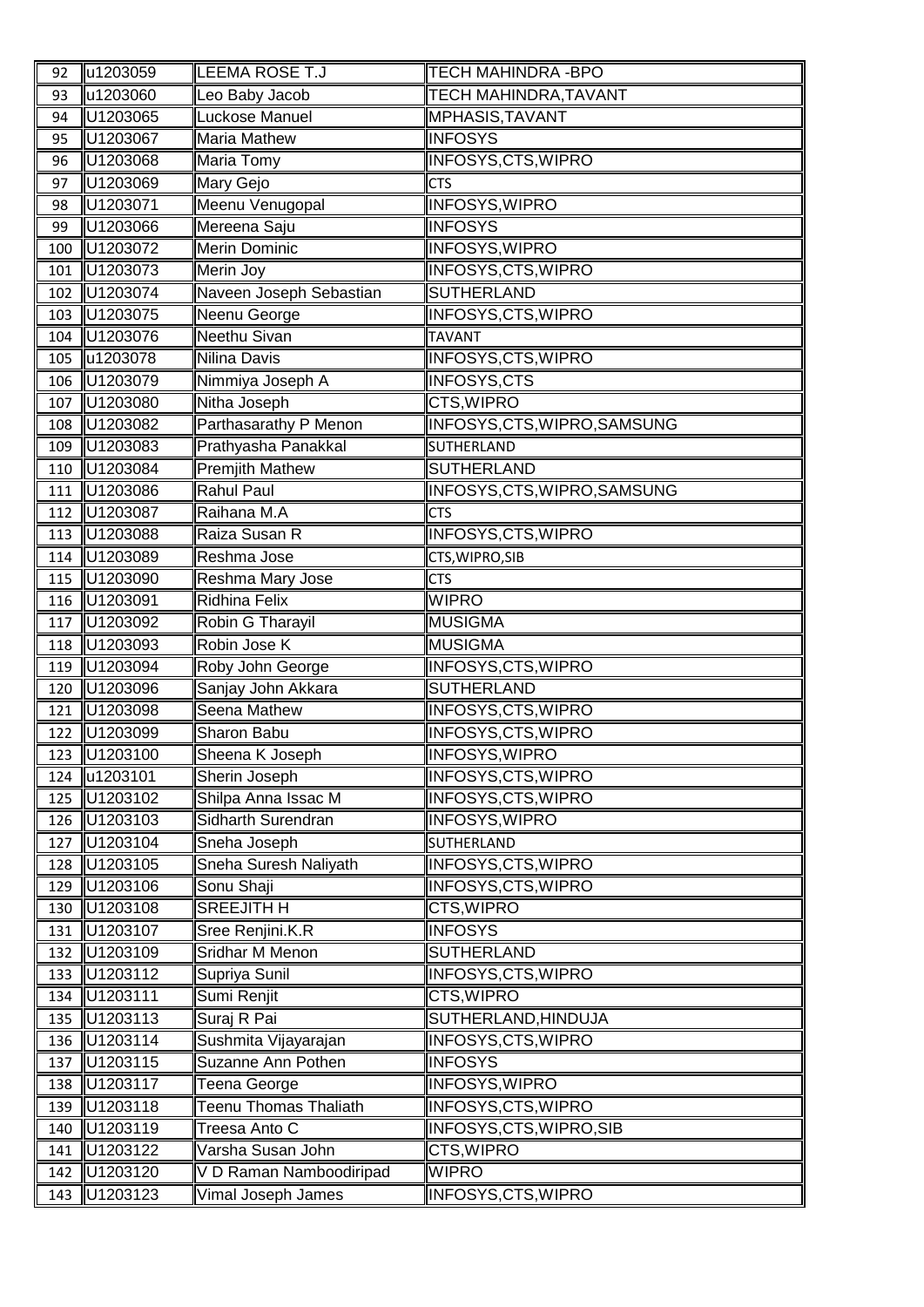| 92  | u1203059 | LEEMA ROSE T.J               | <b>TECH MAHINDRA -BPO</b>    |
|-----|----------|------------------------------|------------------------------|
| 93  | u1203060 | Leo Baby Jacob               | <b>TECH MAHINDRA, TAVANT</b> |
| 94  | U1203065 | Luckose Manuel               | MPHASIS, TAVANT              |
| 95  | U1203067 | Maria Mathew                 | <b>INFOSYS</b>               |
| 96  | U1203068 | <b>Maria Tomy</b>            | INFOSYS, CTS, WIPRO          |
| 97  | U1203069 | Mary Gejo                    | <b>CTS</b>                   |
| 98  | U1203071 | Meenu Venugopal              | INFOSYS, WIPRO               |
| 99  | U1203066 | Mereena Saju                 | <b>INFOSYS</b>               |
| 100 | U1203072 | Merin Dominic                | INFOSYS, WIPRO               |
| 101 | U1203073 | Merin Joy                    | INFOSYS, CTS, WIPRO          |
| 102 | U1203074 | Naveen Joseph Sebastian      | <b>SUTHERLAND</b>            |
| 103 | U1203075 | Neenu George                 | INFOSYS, CTS, WIPRO          |
| 104 | U1203076 | Neethu Sivan                 | <b>TAVANT</b>                |
| 105 | u1203078 | Nilina Davis                 | INFOSYS, CTS, WIPRO          |
| 106 | U1203079 | Nimmiya Joseph A             | <b>INFOSYS,CTS</b>           |
| 107 | U1203080 | Nitha Joseph                 | CTS, WIPRO                   |
| 108 | U1203082 | Parthasarathy P Menon        | INFOSYS, CTS, WIPRO, SAMSUNG |
| 109 | U1203083 | Prathyasha Panakkal          | SUTHERLAND                   |
| 110 | U1203084 | <b>Premjith Mathew</b>       | <b>SUTHERLAND</b>            |
| 111 | U1203086 | <b>Rahul Paul</b>            | INFOSYS, CTS, WIPRO, SAMSUNG |
| 112 | U1203087 | Raihana M.A                  | <b>CTS</b>                   |
| 113 | U1203088 | Raiza Susan R                | INFOSYS, CTS, WIPRO          |
| 114 | U1203089 | Reshma Jose                  | CTS, WIPRO, SIB              |
| 115 | U1203090 | Reshma Mary Jose             | <b>CTS</b>                   |
| 116 | U1203091 | <b>Ridhina Felix</b>         | <b>WIPRO</b>                 |
| 117 | U1203092 | Robin G Tharayil             | <b>MUSIGMA</b>               |
| 118 | U1203093 | Robin Jose K                 | <b>MUSIGMA</b>               |
| 119 | U1203094 | Roby John George             | INFOSYS, CTS, WIPRO          |
| 120 | U1203096 | Sanjay John Akkara           | <b>SUTHERLAND</b>            |
| 121 | U1203098 | Seena Mathew                 | INFOSYS, CTS, WIPRO          |
| 122 | U1203099 | Sharon Babu                  | INFOSYS, CTS, WIPRO          |
| 123 | U1203100 | Sheena K Joseph              | <b>INFOSYS, WIPRO</b>        |
| 124 | u1203101 | Sherin Joseph                | <b>INFOSYS, CTS, WIPRO</b>   |
| 125 | U1203102 | Shilpa Anna Issac M          | <b>INFOSYS, CTS, WIPRO</b>   |
| 126 | U1203103 | Sidharth Surendran           | INFOSYS, WIPRO               |
| 127 | U1203104 | Sneha Joseph                 | <b>SUTHERLAND</b>            |
| 128 | U1203105 | Sneha Suresh Naliyath        | INFOSYS, CTS, WIPRO          |
| 129 | U1203106 | Sonu Shaji                   | <b>INFOSYS, CTS, WIPRO</b>   |
| 130 | U1203108 | <b>SREEJITH H</b>            | <b>CTS, WIPRO</b>            |
| 131 | U1203107 | Sree Renjini.K.R             | <b>INFOSYS</b>               |
| 132 | U1203109 | <b>Sridhar M Menon</b>       | <b>SUTHERLAND</b>            |
| 133 | U1203112 | Supriya Sunil                | <b>INFOSYS, CTS, WIPRO</b>   |
| 134 | U1203111 | Sumi Renjit                  | CTS, WIPRO                   |
| 135 | U1203113 | Suraj R Pai                  | SUTHERLAND, HINDUJA          |
| 136 | U1203114 | Sushmita Vijayarajan         | INFOSYS, CTS, WIPRO          |
| 137 | U1203115 | Suzanne Ann Pothen           | <b>INFOSYS</b>               |
| 138 | U1203117 | Teena George                 | <b>INFOSYS, WIPRO</b>        |
| 139 | U1203118 | <b>Teenu Thomas Thaliath</b> | INFOSYS, CTS, WIPRO          |
| 140 | U1203119 | Treesa Anto C                | INFOSYS, CTS, WIPRO, SIB     |
| 141 | U1203122 | Varsha Susan John            | CTS, WIPRO                   |
| 142 | U1203120 | V D Raman Namboodiripad      | <b>WIPRO</b>                 |
| 143 | U1203123 | Vimal Joseph James           | <b>INFOSYS,CTS, WIPRO</b>    |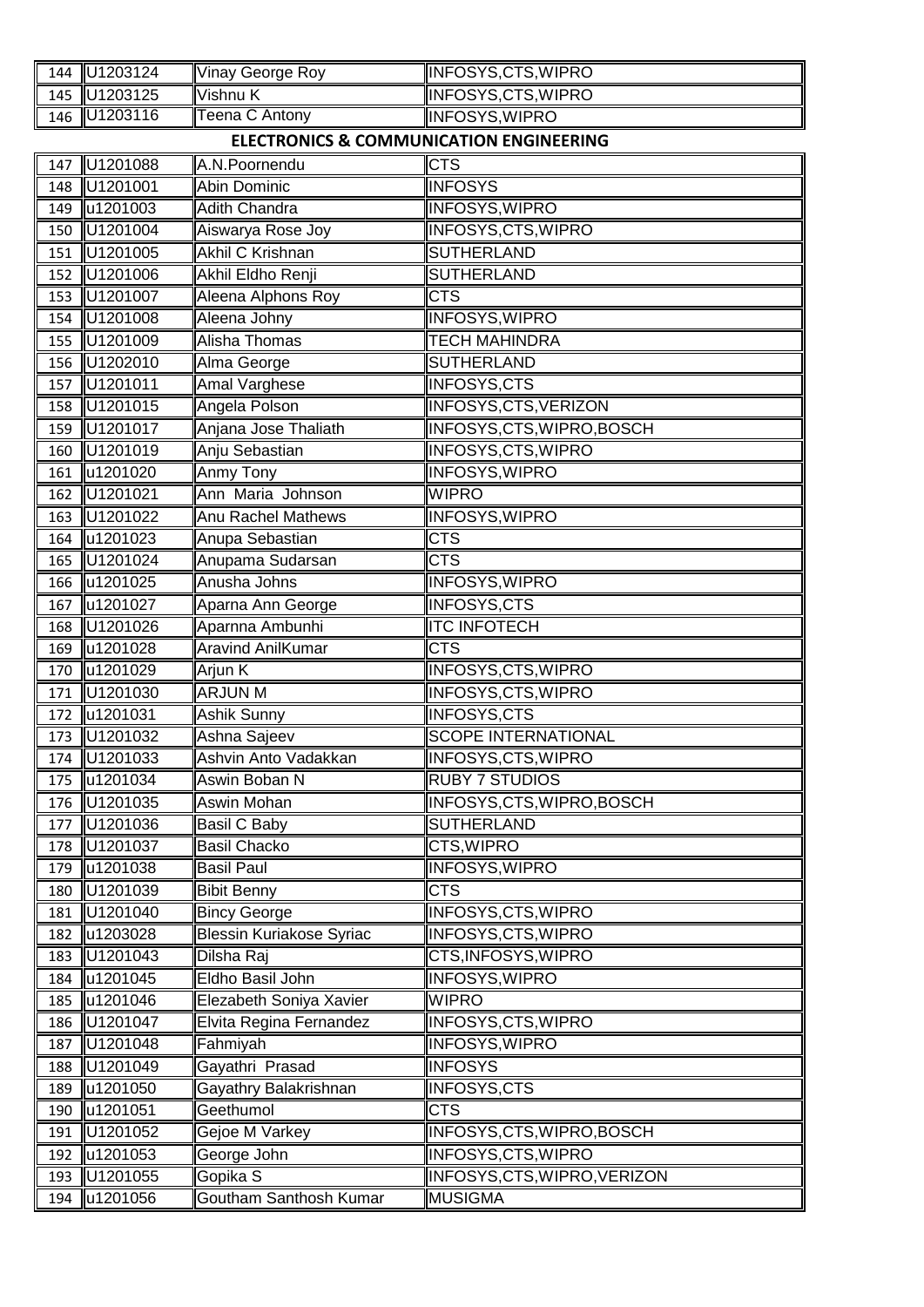| 144 | U1203124     | <b>Vinay George Roy</b>                            | INFOSYS, CTS, WIPRO          |
|-----|--------------|----------------------------------------------------|------------------------------|
| 145 | U1203125     | Vishnu K                                           | INFOSYS, CTS, WIPRO          |
| 146 | U1203116     | Teena C Antony                                     | <b>INFOSYS, WIPRO</b>        |
|     |              | <b>ELECTRONICS &amp; COMMUNICATION ENGINEERING</b> |                              |
| 147 | U1201088     | A.N.Poornendu                                      | <b>CTS</b>                   |
| 148 | U1201001     | Abin Dominic                                       | <b>INFOSYS</b>               |
| 149 | u1201003     | <b>Adith Chandra</b>                               | <b>INFOSYS, WIPRO</b>        |
| 150 | U1201004     | Aiswarya Rose Joy                                  | INFOSYS, CTS, WIPRO          |
| 151 | U1201005     | <b>Akhil C Krishnan</b>                            | <b>SUTHERLAND</b>            |
| 152 | U1201006     | Akhil Eldho Renji                                  | <b>SUTHERLAND</b>            |
| 153 | U1201007     | Aleena Alphons Roy                                 | <b>CTS</b>                   |
| 154 | U1201008     | Aleena Johny                                       | INFOSYS, WIPRO               |
| 155 | U1201009     | <b>Alisha Thomas</b>                               | <b>TECH MAHINDRA</b>         |
| 156 | U1202010     | Alma George                                        | <b>SUTHERLAND</b>            |
| 157 | U1201011     | <b>Amal Varghese</b>                               | <b>INFOSYS,CTS</b>           |
| 158 | U1201015     | Angela Polson                                      | INFOSYS, CTS, VERIZON        |
| 159 | U1201017     | Anjana Jose Thaliath                               | INFOSYS,CTS,WIPRO,BOSCH      |
| 160 | U1201019     | Anju Sebastian                                     | <b>INFOSYS, CTS, WIPRO</b>   |
| 161 | u1201020     | Anmy Tony                                          | <b>INFOSYS, WIPRO</b>        |
| 162 | U1201021     | Ann Maria Johnson                                  | <b>WIPRO</b>                 |
| 163 | U1201022     | <b>Anu Rachel Mathews</b>                          | INFOSYS, WIPRO               |
| 164 | u1201023     | Anupa Sebastian                                    | <b>CTS</b>                   |
| 165 | U1201024     | Anupama Sudarsan                                   | <b>CTS</b>                   |
| 166 | u1201025     | Anusha Johns                                       | INFOSYS, WIPRO               |
| 167 | u1201027     | Aparna Ann George                                  | <b>INFOSYS,CTS</b>           |
| 168 | U1201026     | Aparnna Ambunhi                                    | <b>ITC INFOTECH</b>          |
| 169 | u1201028     | <b>Aravind AnilKumar</b>                           | <b>CTS</b>                   |
| 170 | u1201029     | Arjun K                                            | INFOSYS, CTS, WIPRO          |
| 171 | U1201030     | <b>ARJUN M</b>                                     | <b>INFOSYS, CTS, WIPRO</b>   |
| 172 | u1201031     | Ashik Sunny                                        | <b>INFOSYS,CTS</b>           |
| 173 | U1201032     | Ashna Sajeev                                       | <b>SCOPE INTERNATIONAL</b>   |
|     | 174 U1201033 | Ashvin Anto Vadakkan                               | <b>INFOSYS, CTS, WIPRO</b>   |
| 175 | u1201034     | Aswin Boban N                                      | <b>RUBY 7 STUDIOS</b>        |
| 176 | U1201035     | Aswin Mohan                                        | INFOSYS,CTS,WIPRO,BOSCH      |
| 177 | U1201036     | Basil C Baby                                       | <b>SUTHERLAND</b>            |
| 178 | U1201037     | <b>Basil Chacko</b>                                | CTS, WIPRO                   |
| 179 | u1201038     | <b>Basil Paul</b>                                  | <b>INFOSYS, WIPRO</b>        |
| 180 | U1201039     | <b>Bibit Benny</b>                                 | <b>CTS</b>                   |
| 181 | U1201040     | <b>Bincy George</b>                                | INFOSYS, CTS, WIPRO          |
| 182 | u1203028     | <b>Blessin Kuriakose Syriac</b>                    | INFOSYS, CTS, WIPRO          |
| 183 | U1201043     | Dilsha Raj                                         | CTS, INFOSYS, WIPRO          |
| 184 | u1201045     | Eldho Basil John                                   | <b>INFOSYS, WIPRO</b>        |
| 185 | u1201046     | Elezabeth Soniya Xavier                            | <b>WIPRO</b>                 |
| 186 | U1201047     | Elvita Regina Fernandez                            | INFOSYS, CTS, WIPRO          |
| 187 | U1201048     | Fahmiyah                                           | INFOSYS, WIPRO               |
| 188 | U1201049     | Gayathri Prasad                                    | <b>INFOSYS</b>               |
| 189 | u1201050     | Gayathry Balakrishnan                              | <b>INFOSYS,CTS</b>           |
| 190 | u1201051     | Geethumol                                          | <b>CTS</b>                   |
| 191 | U1201052     | Gejoe M Varkey                                     | INFOSYS, CTS, WIPRO, BOSCH   |
| 192 | u1201053     | George John                                        | INFOSYS, CTS, WIPRO          |
| 193 | U1201055     | Gopika S                                           | INFOSYS, CTS, WIPRO, VERIZON |
| 194 | u1201056     | Goutham Santhosh Kumar                             | <b>MUSIGMA</b>               |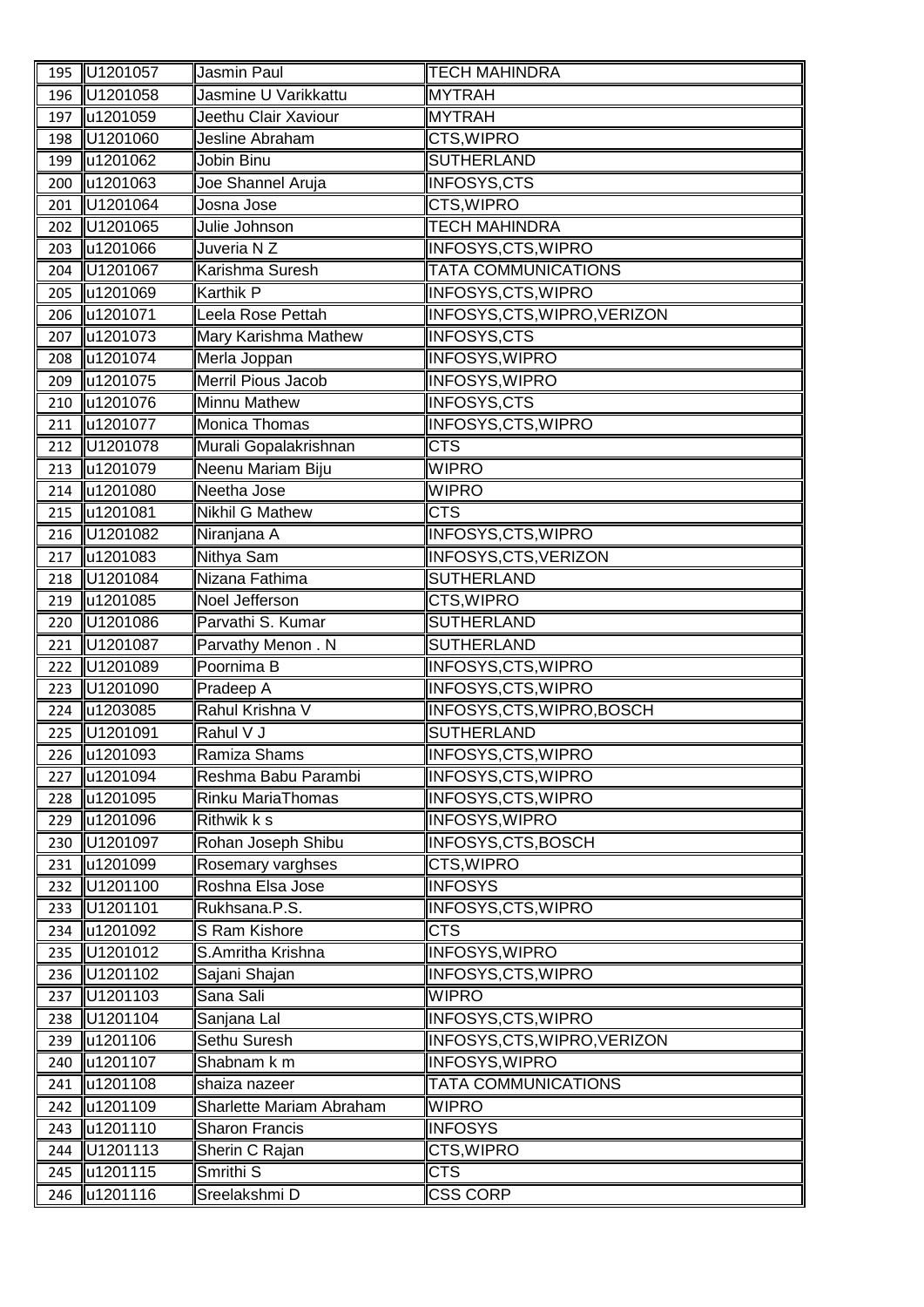| 195        | U1201057             | Jasmin Paul                        | <b>TECH MAHINDRA</b>                |
|------------|----------------------|------------------------------------|-------------------------------------|
| 196        | U1201058             | Jasmine U Varikkattu               | <b>MYTRAH</b>                       |
| 197        | u1201059             | Jeethu Clair Xaviour               | <b>MYTRAH</b>                       |
| 198        | U1201060             | Jesline Abraham                    | CTS, WIPRO                          |
| 199        | u1201062             | Jobin Binu                         | <b>SUTHERLAND</b>                   |
| 200        | u1201063             | Joe Shannel Aruja                  | <b>INFOSYS,CTS</b>                  |
| 201        | U1201064             | Josna Jose                         | CTS, WIPRO                          |
| 202        | U1201065             | Julie Johnson                      | <b>TECH MAHINDRA</b>                |
| 203        | u1201066             | Juveria NZ                         | <b>INFOSYS, CTS, WIPRO</b>          |
| 204        | U1201067             | Karishma Suresh                    | <b>TATA COMMUNICATIONS</b>          |
| 205        | u1201069             | <b>Karthik P</b>                   | <b>INFOSYS, CTS, WIPRO</b>          |
| 206        | u1201071             | Leela Rose Pettah                  | INFOSYS, CTS, WIPRO, VERIZON        |
| 207        | u1201073             | Mary Karishma Mathew               | <b>INFOSYS,CTS</b>                  |
| 208        | u1201074             | Merla Joppan                       | <b>INFOSYS, WIPRO</b>               |
| 209        | u1201075             | <b>Merril Pious Jacob</b>          | <b>INFOSYS, WIPRO</b>               |
| 210        | u1201076             | <b>Minnu Mathew</b>                | INFOSYS,CTS                         |
| 211        | u1201077             | Monica Thomas                      | INFOSYS, CTS, WIPRO                 |
| 212        | U1201078             | Murali Gopalakrishnan              | <b>CTS</b>                          |
| 213        | u1201079             | Neenu Mariam Biju                  | <b>WIPRO</b>                        |
| 214        | u1201080             | Neetha Jose                        | <b>WIPRO</b>                        |
| 215        | u1201081             | <b>Nikhil G Mathew</b>             | <b>CTS</b>                          |
| 216        | U1201082             | Niranjana A                        | INFOSYS, CTS, WIPRO                 |
| 217        | u1201083             | <b>Nithya Sam</b>                  | <b>INFOSYS, CTS, VERIZON</b>        |
| 218        | U1201084             | Nizana Fathima                     | <b>SUTHERLAND</b>                   |
| 219        | u1201085             | Noel Jefferson                     | CTS, WIPRO                          |
| 220        | U1201086             | Parvathi S. Kumar                  | <b>SUTHERLAND</b>                   |
| 221        | U1201087             | Parvathy Menon. N                  | <b>SUTHERLAND</b>                   |
| 222        | U1201089             | Poornima B                         | INFOSYS, CTS, WIPRO                 |
| 223        | U1201090             | Pradeep A                          | INFOSYS, CTS, WIPRO                 |
| 224        | u1203085             | Rahul Krishna V                    | INFOSYS, CTS, WIPRO, BOSCH          |
| 225        | U1201091             | Rahul V J                          | <b>SUTHERLAND</b>                   |
| 226        | u1201093             | Ramiza Shams                       | <b>INFOSYS, CTS, WIPRO</b>          |
| 227        | u1201094             | Reshma Babu Parambi                | <b>INFOSYS, CTS, WIPRO</b>          |
| 228        | u1201095             | <b>Rinku MariaThomas</b>           | <b>INFOSYS, CTS, WIPRO</b>          |
| 229        | u1201096             | Rithwik k s                        | <b>INFOSYS, WIPRO</b>               |
| 230        | U1201097             | Rohan Joseph Shibu                 | INFOSYS, CTS, BOSCH                 |
| 231        | u1201099             | Rosemary varghses                  | <b>CTS, WIPRO</b>                   |
| 232        | U1201100             | Roshna Elsa Jose                   | <b>INFOSYS</b>                      |
| 233        | U1201101             | Rukhsana.P.S.                      | <b>INFOSYS, CTS, WIPRO</b>          |
| 234        | u1201092<br>U1201012 | S Ram Kishore<br>S.Amritha Krishna | <b>CTS</b><br><b>INFOSYS, WIPRO</b> |
| 235        | U1201102             | Sajani Shajan                      | <b>INFOSYS, CTS, WIPRO</b>          |
| 236        | U1201103             | Sana Sali                          | <b>WIPRO</b>                        |
| 237<br>238 | U1201104             | Sanjana Lal                        | <b>INFOSYS, CTS, WIPRO</b>          |
|            | u1201106             | Sethu Suresh                       | INFOSYS, CTS, WIPRO, VERIZON        |
| 239<br>240 | u1201107             | Shabnam k m                        | <b>INFOSYS, WIPRO</b>               |
| 241        | u1201108             | shaiza nazeer                      | <b>TATA COMMUNICATIONS</b>          |
| 242        | u1201109             | <b>Sharlette Mariam Abraham</b>    | <b>WIPRO</b>                        |
| 243        | u1201110             | <b>Sharon Francis</b>              | <b>INFOSYS</b>                      |
| 244        | U1201113             | Sherin C Rajan                     | CTS, WIPRO                          |
| 245        | u1201115             | Smrithi <sub>S</sub>               | <b>CTS</b>                          |
| 246        | u1201116             | Sreelakshmi D                      | <b>CSS CORP</b>                     |
|            |                      |                                    |                                     |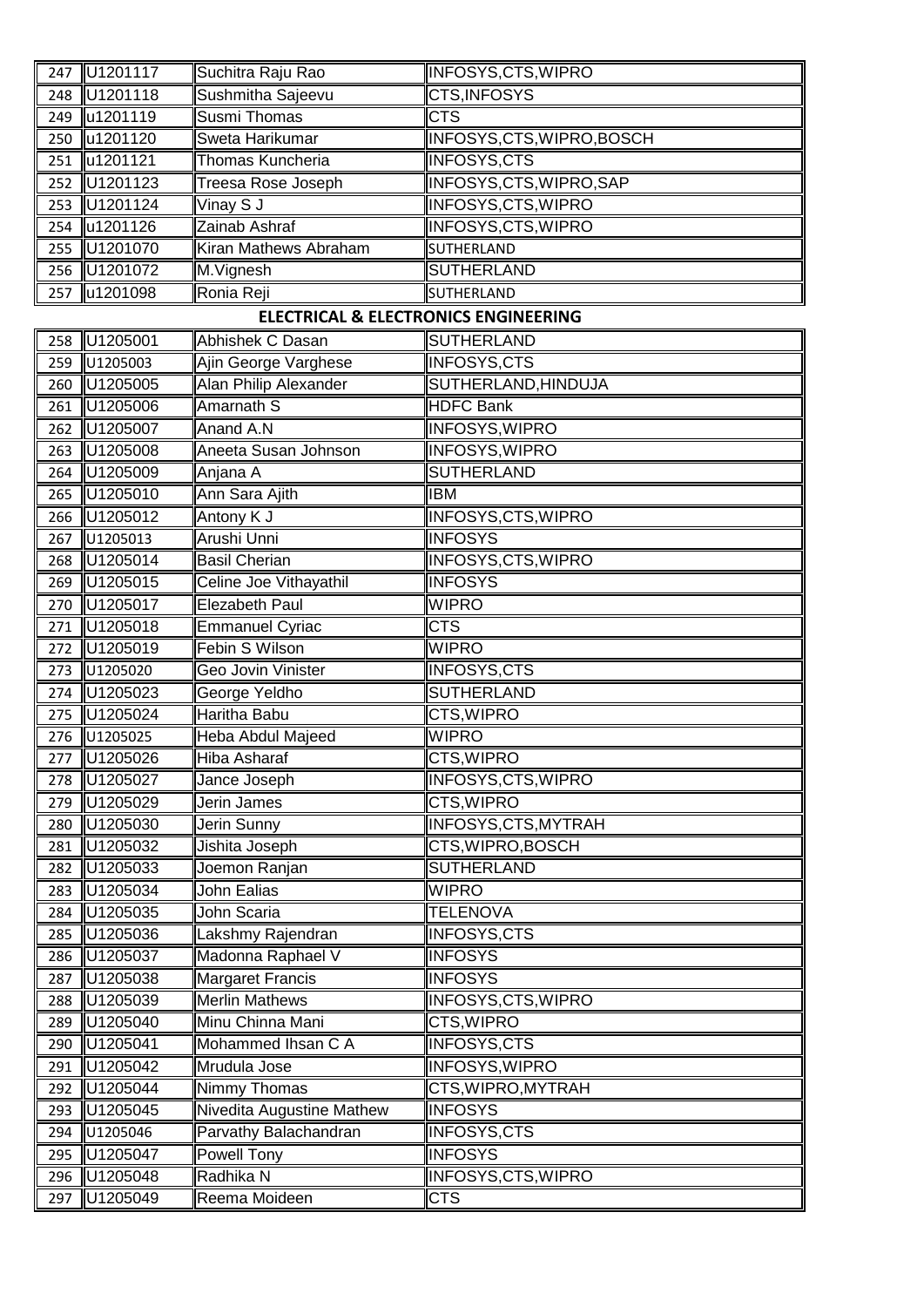| 247 | U1201117                     | Suchitra Raju Rao                               | INFOSYS, CTS, WIPRO           |
|-----|------------------------------|-------------------------------------------------|-------------------------------|
| 248 | U1201118                     | Sushmitha Sajeevu                               | CTS, INFOSYS                  |
| 249 | u1201119                     | <b>Susmi Thomas</b>                             | <b>CTS</b>                    |
| 250 | u1201120                     | Sweta Harikumar                                 | INFOSYS, CTS, WIPRO, BOSCH    |
| 251 | u1201121                     | Thomas Kuncheria                                | <b>INFOSYS,CTS</b>            |
| 252 | U1201123                     | Treesa Rose Joseph                              | INFOSYS, CTS, WIPRO, SAP      |
| 253 | U1201124                     | Vinay S J                                       | INFOSYS, CTS, WIPRO           |
| 254 | u1201126                     | Zainab Ashraf                                   | INFOSYS, CTS, WIPRO           |
| 255 | U1201070                     | Kiran Mathews Abraham                           | SUTHERLAND                    |
| 256 | U1201072                     | M.Vignesh                                       | <b>SUTHERLAND</b>             |
| 257 | u1201098                     | Ronia Reji                                      | SUTHERLAND                    |
|     |                              | <b>ELECTRICAL &amp; ELECTRONICS ENGINEERING</b> |                               |
| 258 | U1205001                     | Abhishek C Dasan                                | SUTHERLAND                    |
| 259 | U1205003                     | Ajin George Varghese                            | <b>INFOSYS,CTS</b>            |
| 260 | U1205005                     | Alan Philip Alexander                           | SUTHERLAND, HINDUJA           |
| 261 | U1205006                     | Amarnath S                                      | <b>HDFC Bank</b>              |
| 262 | U1205007                     | Anand A.N                                       | <b>INFOSYS, WIPRO</b>         |
| 263 | U1205008                     | Aneeta Susan Johnson                            | INFOSYS, WIPRO                |
| 264 | U1205009                     | Anjana A                                        | <b>SUTHERLAND</b>             |
| 265 | U1205010                     | Ann Sara Ajith                                  | <b>IBM</b>                    |
| 266 | U1205012                     | Antony K J                                      | <b>INFOSYS, CTS, WIPRO</b>    |
| 267 | U1205013                     | Arushi Unni                                     | <b>INFOSYS</b>                |
| 268 | U1205014                     | <b>Basil Cherian</b>                            | INFOSYS, CTS, WIPRO           |
| 269 | U1205015                     | Celine Joe Vithayathil                          | <b>INFOSYS</b>                |
| 270 | U1205017                     | <b>Elezabeth Paul</b>                           | <b>WIPRO</b>                  |
| 271 | U1205018                     | Emmanuel Cyriac                                 | <b>CTS</b>                    |
| 272 | U1205019                     | <b>Febin S Wilson</b>                           | <b>WIPRO</b>                  |
| 273 | U1205020                     | Geo Jovin Vinister                              | <b>INFOSYS,CTS</b>            |
| 274 | U1205023                     | George Yeldho                                   | <b>SUTHERLAND</b>             |
| 275 | U1205024                     | <b>Haritha Babu</b>                             | <b>CTS, WIPRO</b>             |
| 276 | U1205025                     | Heba Abdul Majeed                               | <b>WIPRO</b>                  |
|     | 277 U1205026                 | Hiba Asharaf                                    | CTS, WIPRO                    |
|     | 278 U1205027                 | Jance Joseph                                    | INFOSYS, CTS, WIPRO           |
| 279 | U1205029                     | Jerin James                                     | CTS, WIPRO                    |
| 280 | U1205030                     | Jerin Sunny                                     | INFOSYS, CTS, MYTRAH          |
| 281 | U1205032                     | Jishita Joseph                                  | CTS, WIPRO, BOSCH             |
| 282 | U1205033                     | Joemon Ranjan                                   | <b>SUTHERLAND</b>             |
| 283 | U1205034                     | John Ealias                                     | <b>WIPRO</b>                  |
|     | 284 U1205035                 | John Scaria                                     | <b>TELENOVA</b>               |
| 285 | U1205036                     | Lakshmy Rajendran                               | <b>INFOSYS,CTS</b>            |
| 286 | U1205037                     | Madonna Raphael V                               | <b>INFOSYS</b>                |
| 287 | U1205038                     | <b>Margaret Francis</b>                         | <b>INFOSYS</b>                |
| 288 | U1205039                     | <b>Merlin Mathews</b>                           | <b>INFOSYS, CTS, WIPRO</b>    |
| 289 | U1205040                     | Minu Chinna Mani                                | <b>CTS, WIPRO</b>             |
|     | 290 U1205041                 | Mohammed Ihsan C A                              | <b>INFOSYS,CTS</b>            |
| 291 | U1205042                     | Mrudula Jose                                    | INFOSYS, WIPRO                |
|     | 292 U1205044                 | Nimmy Thomas                                    | CTS, WIPRO, MYTRAH            |
| 293 | U1205045                     | Nivedita Augustine Mathew                       | <b>INFOSYS</b><br>INFOSYS,CTS |
|     | 294 U1205046<br>295 U1205047 | Parvathy Balachandran<br><b>Powell Tony</b>     | <b>INFOSYS</b>                |
| 296 | U1205048                     | Radhika N                                       | <b>INFOSYS, CTS, WIPRO</b>    |
| 297 | $\overline{U1205049}$        | Reema Moideen                                   | <b>CTS</b>                    |
|     |                              |                                                 |                               |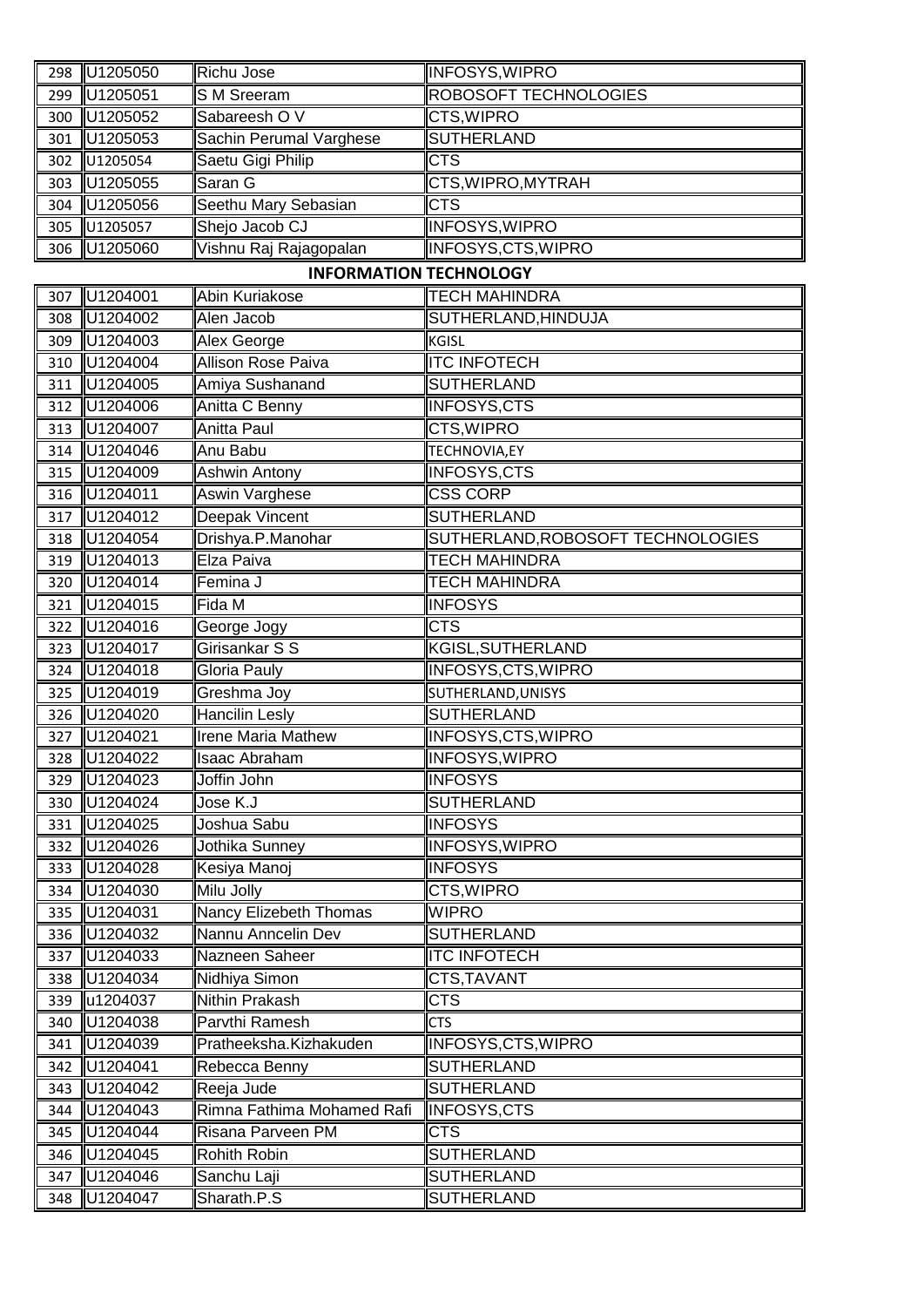| 298        | U1205050             | Richu Jose                                   | <b>INFOSYS, WIPRO</b>               |
|------------|----------------------|----------------------------------------------|-------------------------------------|
| 299        | U1205051             | S M Sreeram                                  | ROBOSOFT TECHNOLOGIES               |
| 300        | U1205052             | Sabareesh OV                                 | CTS, WIPRO                          |
| 301        | U1205053             | Sachin Perumal Varghese                      | <b>SUTHERLAND</b>                   |
| 302        | U1205054             | Saetu Gigi Philip                            | <b>CTS</b>                          |
| 303        | U1205055             | Saran G                                      | CTS, WIPRO, MYTRAH                  |
| 304        | U1205056             | Seethu Mary Sebasian                         | <b>CTS</b>                          |
| 305        | U1205057             | Shejo Jacob CJ                               | <b>INFOSYS, WIPRO</b>               |
| 306        | U1205060             | Vishnu Raj Rajagopalan                       | INFOSYS, CTS, WIPRO                 |
|            |                      | <b>INFORMATION TECHNOLOGY</b>                |                                     |
| 307        | U1204001             | Abin Kuriakose                               | <b>TECH MAHINDRA</b>                |
| 308        | U1204002             | Alen Jacob                                   | SUTHERLAND, HINDUJA                 |
| 309        | U1204003             | Alex George                                  | <b>KGISL</b>                        |
| 310        | U1204004             | Allison Rose Paiva                           | <b>ITC INFOTECH</b>                 |
| 311        | U1204005             | Amiya Sushanand                              | <b>SUTHERLAND</b>                   |
| 312        | U1204006             | Anitta C Benny                               | <b>INFOSYS,CTS</b>                  |
| 313        | U1204007             | Anitta Paul                                  | CTS, WIPRO                          |
| 314        | U1204046             | Anu Babu                                     | TECHNOVIA, EY                       |
| 315        | U1204009             | <b>Ashwin Antony</b>                         | <b>INFOSYS,CTS</b>                  |
| 316        | U1204011             | <b>Aswin Varghese</b>                        | <b>CSS CORP</b>                     |
| 317        | U1204012             | <b>Deepak Vincent</b>                        | <b>SUTHERLAND</b>                   |
| 318        | U1204054             | Drishya.P.Manohar                            | SUTHERLAND, ROBOSOFT TECHNOLOGIES   |
| 319        | U1204013             | Elza Paiva                                   | <b>TECH MAHINDRA</b>                |
| 320        | U1204014             | Femina J                                     | <b>TECH MAHINDRA</b>                |
| 321        | U1204015             | Fida M                                       | <b>INFOSYS</b>                      |
| 322        | U1204016             | George Jogy                                  | <b>CTS</b>                          |
| 323        | U1204017             | Girisankar S S                               | KGISL, SUTHERLAND                   |
| 324        | U1204018             | Gloria Pauly                                 | INFOSYS, CTS, WIPRO                 |
| 325        | U1204019             | Greshma Joy                                  | SUTHERLAND, UNISYS                  |
| 326        | U1204020             | <b>Hancilin Lesly</b>                        | <b>SUTHERLAND</b>                   |
| 327        | U1204021             | <b>Irene Maria Mathew</b>                    | INFOSYS, CTS, WIPRO                 |
| 328        | U1204022             | Isaac Abraham                                | INFOSYS, WIPRO                      |
| 329        | U1204023             | Joffin John                                  | <b>INFOSYS</b>                      |
| 330        | U1204024             | Jose K.J                                     | <b>SUTHERLAND</b>                   |
| 331        | U1204025             | Joshua Sabu                                  | <b>INFOSYS</b>                      |
| 332        | U1204026             | Jothika Sunney                               | <b>INFOSYS, WIPRO</b>               |
|            | 333 U1204028         | Kesiya Manoj<br>Milu Jolly                   | <b>INFOSYS</b><br><b>CTS, WIPRO</b> |
| 334        | U1204030             |                                              | <b>WIPRO</b>                        |
| 335<br>336 | U1204031<br>U1204032 | Nancy Elizebeth Thomas<br>Nannu Anncelin Dev | <b>SUTHERLAND</b>                   |
| 337        | U1204033             | Nazneen Saheer                               | <b>ITC INFOTECH</b>                 |
| 338        | U1204034             | Nidhiya Simon                                | CTS, TAVANT                         |
| 339        | u1204037             | Nithin Prakash                               | <b>CTS</b>                          |
| 340        | U1204038             | Parvthi Ramesh                               | <b>CTS</b>                          |
| 341        | U1204039             | Pratheeksha.Kizhakuden                       | INFOSYS, CTS, WIPRO                 |
| 342        | U1204041             | Rebecca Benny                                | <b>SUTHERLAND</b>                   |
| 343        | U1204042             | Reeja Jude                                   | <b>SUTHERLAND</b>                   |
| 344        | U1204043             | Rimna Fathima Mohamed Rafi                   | INFOSYS,CTS                         |
| 345        | U1204044             | Risana Parveen PM                            | <b>CTS</b>                          |
| 346        | U1204045             | Rohith Robin                                 | <b>SUTHERLAND</b>                   |
| 347        | U1204046             | Sanchu Laji                                  | <b>SUTHERLAND</b>                   |
| 348        | U1204047             | Sharath.P.S                                  | <b>SUTHERLAND</b>                   |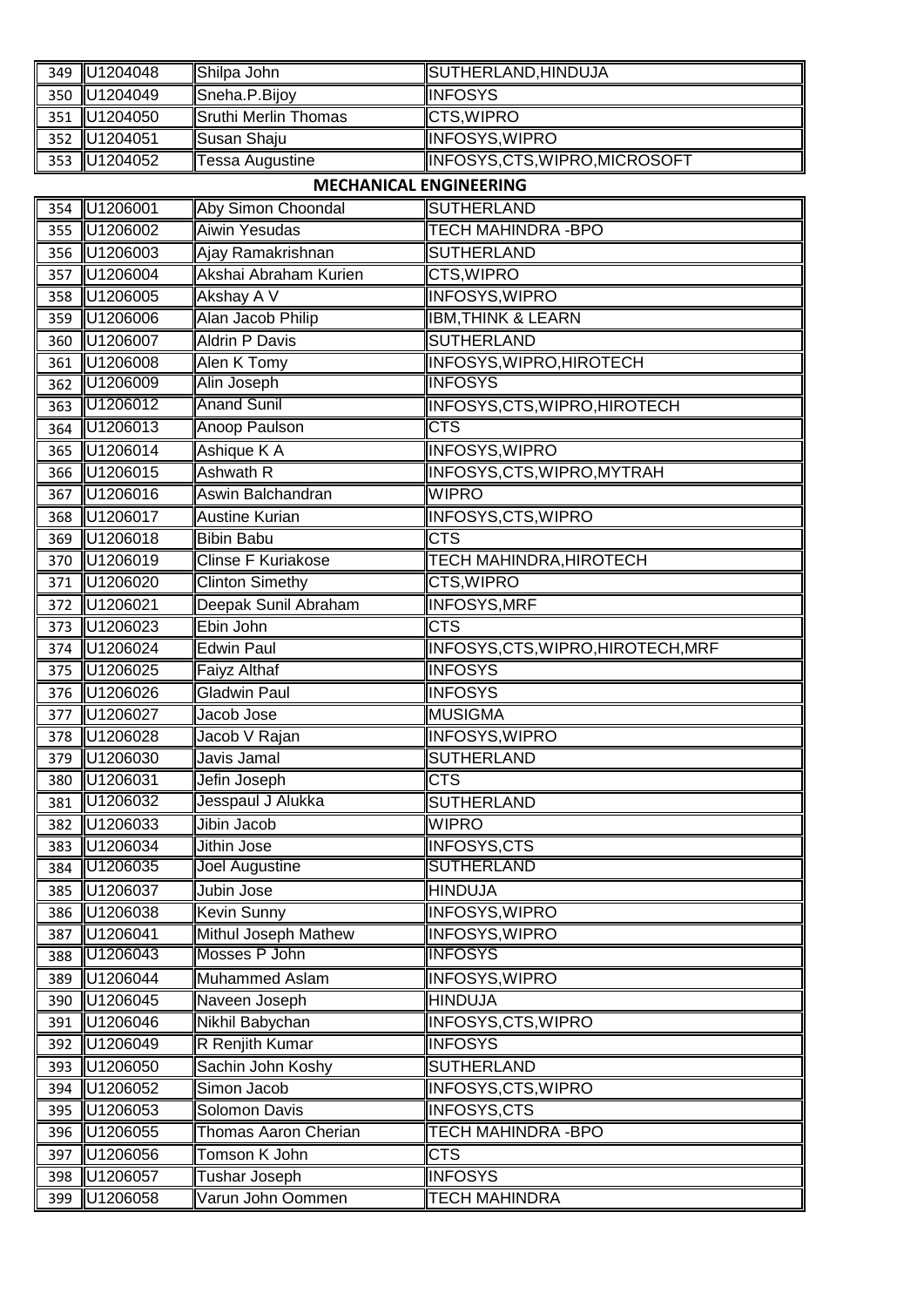|     | 349 U1204048 | Shilpa John                   | SUTHERLAND, HINDUJA                |
|-----|--------------|-------------------------------|------------------------------------|
| 350 | U1204049     | Sneha.P.Bijoy                 | <b>INFOSYS</b>                     |
| 351 | U1204050     | <b>Sruthi Merlin Thomas</b>   | CTS, WIPRO                         |
| 352 | U1204051     | Susan Shaju                   | <b>INFOSYS, WIPRO</b>              |
| 353 | U1204052     | Tessa Augustine               | INFOSYS, CTS, WIPRO, MICROSOFT     |
|     |              | <b>MECHANICAL ENGINEERING</b> |                                    |
| 354 | U1206001     | Aby Simon Choondal            | <b>SUTHERLAND</b>                  |
| 355 | U1206002     | Aiwin Yesudas                 | <b>TECH MAHINDRA - BPO</b>         |
| 356 | U1206003     | Ajay Ramakrishnan             | <b>SUTHERLAND</b>                  |
| 357 | U1206004     | Akshai Abraham Kurien         | CTS, WIPRO                         |
| 358 | U1206005     | Akshay A V                    | INFOSYS, WIPRO                     |
| 359 | U1206006     | Alan Jacob Philip             | <b>IBM, THINK &amp; LEARN</b>      |
| 360 | U1206007     | <b>Aldrin P Davis</b>         | <b>SUTHERLAND</b>                  |
| 361 | U1206008     | Alen K Tomy                   | INFOSYS, WIPRO, HIROTECH           |
| 362 | U1206009     | Alin Joseph                   | <b>INFOSYS</b>                     |
| 363 | U1206012     | <b>Anand Sunil</b>            | INFOSYS, CTS, WIPRO, HIROTECH      |
| 364 | U1206013     | Anoop Paulson                 | CTS                                |
| 365 | U1206014     | Ashique K A                   | <b>INFOSYS, WIPRO</b>              |
| 366 | U1206015     | <b>Ashwath R</b>              | INFOSYS, CTS, WIPRO, MYTRAH        |
| 367 | U1206016     | Aswin Balchandran             | <b>WIPRO</b>                       |
| 368 | U1206017     | <b>Austine Kurian</b>         | <b>INFOSYS, CTS, WIPRO</b>         |
| 369 | U1206018     | <b>Bibin Babu</b>             | $\overline{\text{CTS}}$            |
| 370 | U1206019     | Clinse F Kuriakose            | TECH MAHINDRA, HIROTECH            |
| 371 | U1206020     | <b>Clinton Simethy</b>        | CTS, WIPRO                         |
| 372 | U1206021     | Deepak Sunil Abraham          | <b>INFOSYS, MRF</b>                |
| 373 | U1206023     | Ebin John                     | <b>CTS</b>                         |
| 374 | U1206024     | <b>Edwin Paul</b>             | INFOSYS, CTS, WIPRO, HIROTECH, MRF |
| 375 | U1206025     | Faiyz Althaf                  | <b>INFOSYS</b>                     |
| 376 | U1206026     | <b>Gladwin Paul</b>           | <b>INFOSYS</b>                     |
| 377 | U1206027     | Jacob Jose                    | <b>MUSIGMA</b>                     |
| 378 | $U$ 1206028  | Jacob V Rajan                 | INFOSYS, WIPRO                     |
|     | 379 U1206030 | Javis Jamal                   | <b>SUTHERLAND</b>                  |
|     | 380 U1206031 | Jefin Joseph                  | <b>CTS</b>                         |
| 381 | U1206032     | Jesspaul J Alukka             | <b>SUTHERLAND</b>                  |
| 382 | U1206033     | Jibin Jacob                   | <b>WIPRO</b>                       |
| 383 | U1206034     | Jithin Jose                   | <b>INFOSYS,CTS</b>                 |
| 384 | U1206035     | Joel Augustine                | <b>SUTHERLAND</b>                  |
| 385 | U1206037     | Jubin Jose                    | <b>HINDUJA</b>                     |
| 386 | U1206038     | <b>Kevin Sunny</b>            | <b>INFOSYS, WIPRO</b>              |
| 387 | U1206041     | Mithul Joseph Mathew          | <b>INFOSYS, WIPRO</b>              |
| 388 | U1206043     | Mosses P John                 | <b>INFOSYS</b>                     |
| 389 | U1206044     | Muhammed Aslam                | <b>INFOSYS, WIPRO</b>              |
| 390 | U1206045     | Naveen Joseph                 | <b>HINDUJA</b>                     |
| 391 | U1206046     | Nikhil Babychan               | <b>INFOSYS, CTS, WIPRO</b>         |
| 392 | U1206049     | R Renjith Kumar               | <b>INFOSYS</b>                     |
| 393 | U1206050     | Sachin John Koshy             | <b>SUTHERLAND</b>                  |
| 394 | U1206052     | Simon Jacob                   | INFOSYS, CTS, WIPRO                |
| 395 | U1206053     | Solomon Davis                 | <b>INFOSYS,CTS</b>                 |
|     | 396 U1206055 | Thomas Aaron Cherian          | <b>TECH MAHINDRA - BPO</b>         |
| 397 | U1206056     | Tomson K John                 | <b>CTS</b>                         |
| 398 | U1206057     | Tushar Joseph                 | <b>INFOSYS</b>                     |
| 399 | U1206058     | Varun John Oommen             | <b>TECH MAHINDRA</b>               |